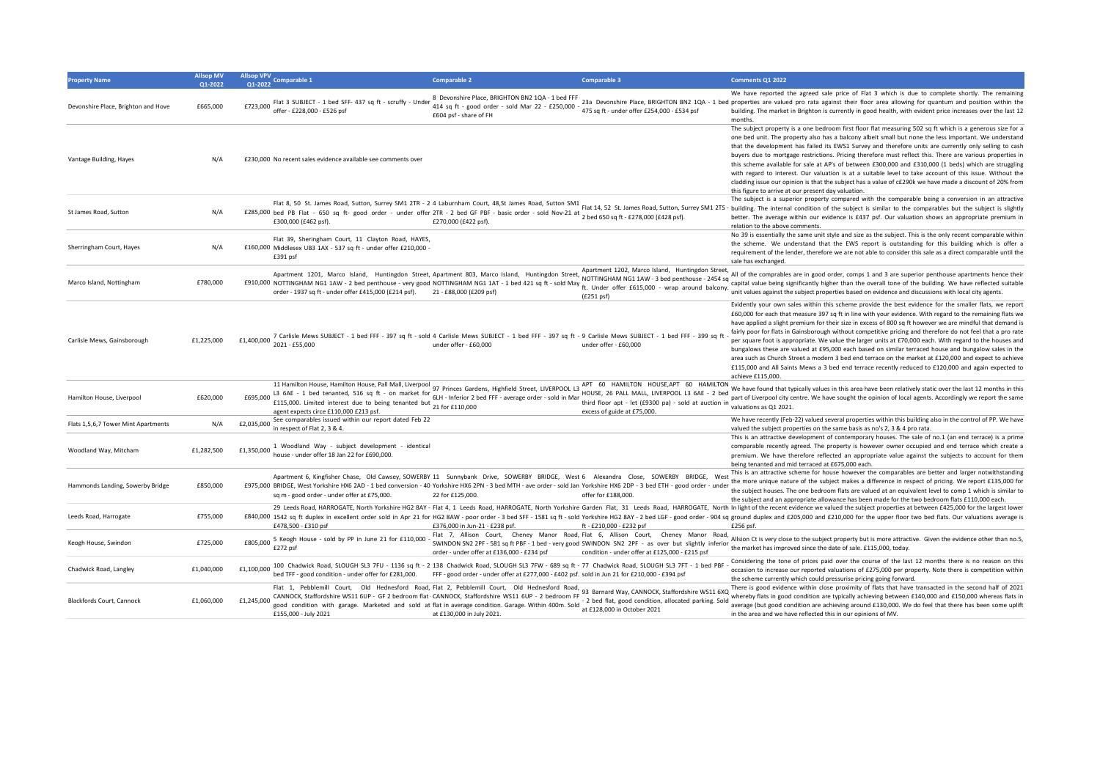| <b>Property Name</b>                | <b>Allsop MV</b><br>01-2022 | Allsop VPV<br>Comparable 1<br>01-2022                                                                                                                                                                                                                                                                                                                                               | <b>Comparable 2</b>                                                                                                                                                                                                                                                                                                                                                                                                                                                                                                   | Comparable 3                                                                                                                                                                                                                                 | Comments Q1 2022                                                                                                                                                                                                                                                                                                                                                                                                                                                                                                                                                                                                                                                                                                                                                                                                                                                                                         |
|-------------------------------------|-----------------------------|-------------------------------------------------------------------------------------------------------------------------------------------------------------------------------------------------------------------------------------------------------------------------------------------------------------------------------------------------------------------------------------|-----------------------------------------------------------------------------------------------------------------------------------------------------------------------------------------------------------------------------------------------------------------------------------------------------------------------------------------------------------------------------------------------------------------------------------------------------------------------------------------------------------------------|----------------------------------------------------------------------------------------------------------------------------------------------------------------------------------------------------------------------------------------------|----------------------------------------------------------------------------------------------------------------------------------------------------------------------------------------------------------------------------------------------------------------------------------------------------------------------------------------------------------------------------------------------------------------------------------------------------------------------------------------------------------------------------------------------------------------------------------------------------------------------------------------------------------------------------------------------------------------------------------------------------------------------------------------------------------------------------------------------------------------------------------------------------------|
| Devonshire Place, Brighton and Hove | £665,000                    | Flat 3 SUBJECT - 1 bed SFF- 437 sq ft - scruffy - Under<br>offer - £228,000 - £526 psf<br>£723,000                                                                                                                                                                                                                                                                                  | 8 Devonshire Place, BRIGHTON BN2 1QA - 1 bed FFF<br>414 sq ft - good order - sold Mar 22 - £250,000 -<br>£604 psf - share of FH                                                                                                                                                                                                                                                                                                                                                                                       | 475 sq ft - under offer £254.000 - £534 psf                                                                                                                                                                                                  | We have reported the agreed sale price of Flat 3 which is due to complete shortly. The remaining<br>23a Devonshire Place, BRIGHTON BN2 1QA - 1 bed properties are valued pro rata against their floor area allowing for quantum and position within the<br>building. The market in Brighton is currently in good health, with evident price increases over the last 12<br>months.                                                                                                                                                                                                                                                                                                                                                                                                                                                                                                                        |
| Vantage Building, Hayes             | N/A                         | £230,000 No recent sales evidence available see comments over                                                                                                                                                                                                                                                                                                                       |                                                                                                                                                                                                                                                                                                                                                                                                                                                                                                                       |                                                                                                                                                                                                                                              | The subject property is a one bedroom first floor flat measuring 502 sq ft which is a generous size for a<br>one bed unit. The property also has a balcony albeit small but none the less important. We understand<br>that the development has failed its EWS1 Survey and therefore units are currently only selling to cash<br>buyers due to mortgage restrictions. Pricing therefore must reflect this. There are various properties in<br>this scheme available for sale at AP's of between £300,000 and £310,000 (1 beds) which are struggling<br>with regard to interest. Our valuation is at a suitable level to take account of this issue. Without the<br>cladding issue our opinion is that the subject has a value of c£290k we have made a discount of 20% from<br>this figure to arrive at our present day valuation.                                                                        |
| St James Road, Sutton               | N/A                         | 2055,000 bed PB Flat - 650 sq ft- good order - under offer 2TR - 2 bed GF PBF - basic order - sold Nov-21 at Flat 1-4, Jr. Jan. Jan. Journey Juncour, Juncour Juncours, Juncours, Juncours, Juncours, Juncours, Juncours, Junc<br>£300,000 (£462 psf).                                                                                                                              | Flat 8, 50 St. James Road, Sutton, Surrey SM1 2TR - 2 4 Laburnham Court, 48,St James Road, Sutton SM1 Flat 14, 52 St. James Road, Sutton, Surrey SM1 2TS<br>£270,000 (£422 psf)                                                                                                                                                                                                                                                                                                                                       |                                                                                                                                                                                                                                              | The subject is a superior property compared with the comparable being a conversion in an attractive<br>building. The internal condition of the subject is similar to the comparables but the subject is slightly<br>better. The average within our evidence is £437 psf. Our valuation shows an appropriate premium in<br>relation to the above comments                                                                                                                                                                                                                                                                                                                                                                                                                                                                                                                                                 |
| Sherringham Court, Hayes            | N/A                         | Flat 39, Sheringham Court, 11 Clayton Road, HAYES,<br>£160,000 Middlesex UB3 1AX - 537 sq ft - under offer £210,000<br>£391 psf                                                                                                                                                                                                                                                     |                                                                                                                                                                                                                                                                                                                                                                                                                                                                                                                       |                                                                                                                                                                                                                                              | No 39 is essentially the same unit style and size as the subject. This is the only recent comparable within<br>the scheme. We understand that the EWS report is outstanding for this building which is offer a<br>requirement of the lender, therefore we are not able to consider this sale as a direct comparable until the<br>sale has exchanged.                                                                                                                                                                                                                                                                                                                                                                                                                                                                                                                                                     |
| Marco Island, Nottingham            | £780,000                    | FOR OUR HAND HOLD AND THE RESERVE OF THE RESERVE OF THE RESERVE OF THE RESERVE OF THE RESERVE OF THE RESERVE OF THE RESERVE OF THE RESERVE OF THE RESERVE OF THE RESERVE OF THE RESERVE OF THE RESERVE OF THE RESERVE OF THE R<br>order - 1937 sq ft - under offer £415,000 (£214 psf).                                                                                             | Apartment 1201, Marco Island, Huntingdon Street, Apartment 803, Marco Island, Huntingdon Street, Nearly Hunter Leve, Hunter James, The Common Common Common Common Case 2454 sq.<br>21 - £88,000 (£209 psf)                                                                                                                                                                                                                                                                                                           | (E251 psf)                                                                                                                                                                                                                                   | All of the comprables are in good order, comps 1 and 3 are superior penthouse apartments hence their<br>capital value being significantly higher than the overall tone of the building. We have reflected suitable<br>unit values against the subject properties based on evidence and discussions with local city agents.                                                                                                                                                                                                                                                                                                                                                                                                                                                                                                                                                                               |
| Carlisle Mews, Gainsborough         | £1,225,000                  | £1,400,000 7 Carlisle Mews SUBJECT - 1 bed FFF - 397 sq ft - sold 4 Carlisle Mews SUBJECT - 1 bed FFF - 397 sq ft - 9 Carlisle Mews SUBJECT - 1 bed FFF - 399 sq ft<br>2021 - £55,000                                                                                                                                                                                               | under offer - £60,000                                                                                                                                                                                                                                                                                                                                                                                                                                                                                                 | under offer - £60,000                                                                                                                                                                                                                        | Evidently your own sales within this scheme provide the best evidence for the smaller flats, we report<br>£60,000 for each that measure 397 sq ft in line with your evidence. With regard to the remaining flats we<br>have applied a slight premium for their size in excess of 800 sq ft however we are mindful that demand is<br>fairly poor for flats in Gainsborough without competitive pricing and therefore do not feel that a pro rate<br>per square foot is appropriate. We value the larger units at £70,000 each. With regard to the houses and<br>bungalows these are valued at £95,000 each based on similar terraced house and bungalow sales in the<br>area such as Church Street a modern 3 bed end terrace on the market at £120,000 and expect to achieve<br>£115,000 and All Saints Mews a 3 bed end terrace recently reduced to £120,000 and again expected to<br>achieve £115,000. |
| Hamilton House, Liverpool           | £620,000                    | . 11 Hamilton House, Hamilton House, Pall Mall, Liverpool 97 Princes Gardens, Highfield Street, LIVERPOOL L3 APT 60 HAMILIUN noves, Fried and Search 20 Hamilton House, Hamilton House, Pall MALL, LIVERPOOL L3 6AE - 2 bed<br>L<br>£695,000<br>£15,000. Limited interest due to being tenanted but $\frac{641 + 10000}{21}$ for £110,000<br>agent expects circe £110,000 £213 psf. |                                                                                                                                                                                                                                                                                                                                                                                                                                                                                                                       | excess of guide at £75,000.                                                                                                                                                                                                                  | We have found that typically values in this area have been relatively static over the last 12 months in this<br>part of Liverpool city centre. We have sought the opinion of local agents. Accordingly we report the same<br>valuations as Q1 2021.                                                                                                                                                                                                                                                                                                                                                                                                                                                                                                                                                                                                                                                      |
| Flats 1,5,6,7 Tower Mint Apartments | N/A                         | See comparables issued within our report dated Feb 22<br>£2,035,000<br>in respect of Flat 2, 3 & 4.                                                                                                                                                                                                                                                                                 |                                                                                                                                                                                                                                                                                                                                                                                                                                                                                                                       |                                                                                                                                                                                                                                              | We have recently (Feb-22) valued several properties within this building also in the control of PP. We have<br>valued the subject properties on the same basis as no's 2, 3 & 4 pro rata.                                                                                                                                                                                                                                                                                                                                                                                                                                                                                                                                                                                                                                                                                                                |
| Woodland Way, Mitcham               | £1,282,500                  | £1,350,000 <sup>1</sup> Woodland Way - subject development - identical<br>house - under offer 18 Jan 22 for £690,000.                                                                                                                                                                                                                                                               |                                                                                                                                                                                                                                                                                                                                                                                                                                                                                                                       |                                                                                                                                                                                                                                              | This is an attractive development of contemporary houses. The sale of no.1 (an end terrace) is a prime<br>comparable recently agreed. The property is however owner occupied and end terrace which create a<br>premium. We have therefore reflected an appropriate value against the subjects to account for them<br>being tenanted and mid terraced at £675,000 each.                                                                                                                                                                                                                                                                                                                                                                                                                                                                                                                                   |
| Hammonds Landing, Sowerby Bridge    | £850,000                    | £975,000 BRIDGE, West Yorkshire HX6 2AD - 1 bed conversion - 40 Yorkshire HX6 2PN - 3 bed MTH - ave order - sold Jan Yorkshire HX6 2DP - 3 bed ETH - good order - under<br>sq m - good order - under offer at £75,000.                                                                                                                                                              | Apartment 6, Kingfisher Chase, Old Cawsey, SOWERBY 11 Sunnybank Drive, SOWERBY BRIDGE, West 6 Alexandra Close, SOWERBY BRIDGE, West<br>22 for £125,000.                                                                                                                                                                                                                                                                                                                                                               | offer for £188,000.                                                                                                                                                                                                                          | This is an attractive scheme for house however the comparables are better and larger notwithstanding<br>the more unique nature of the subject makes a difference in respect of pricing. We report £135,000 for<br>the subject houses. The one bedroom flats are valued at an equivalent level to comp 1 which is similar to<br>the subject and an appropriate allowance has been made for the two bedroom flats £110,000 each.                                                                                                                                                                                                                                                                                                                                                                                                                                                                           |
| Leeds Road, Harrogate               | £755,000                    | £478,500 - £310 psf                                                                                                                                                                                                                                                                                                                                                                 | £376,000 in Jun-21 - £238 psf.                                                                                                                                                                                                                                                                                                                                                                                                                                                                                        | ft - £210,000 - £232 psf                                                                                                                                                                                                                     | 29 Leeds Road, HARROGATE, North Yorkshire HG2 8AY - Flat 4, 1 Leeds Road, HARROGATE, North Yorkshire Garden Flat, 31 Leeds Road, HARROGATE, North In light of the recent evidence we valued the subject properties at between<br>£840,000 1542 sq ft duplex in excellent order sold in Apr 21 for HG2 8AW - poor order - 3 bed SFF - 1581 sq ft - sold Yorkshire HG2 8AY - 2 bed LGF - good order - 904 sq ground duplex and £205,000 and £210,000 for the uppe<br>£256 psf.                                                                                                                                                                                                                                                                                                                                                                                                                             |
| Keogh House, Swindon                | £725,000                    | 5 Keogh House - sold by PP in June 21 for £110,000<br>£805.000<br>£272 psf                                                                                                                                                                                                                                                                                                          | order - under offer at £136,000 - £234 psf                                                                                                                                                                                                                                                                                                                                                                                                                                                                            | Flat 7, Allison Court, Cheney Manor Road, Flat 6, Allison Court, Cheney Manor Road,<br>SWINDON SN2 2PF - 581 sq ft PBF - 1 bed - very good SWINDON SN2 2PF - as over but slightly inferior<br>condition - under offer at £125,000 - £215 psf | Allsion Ct is very close to the subject property but is more attractive. Given the evidence other than no.5,<br>the market has improved since the date of sale. £115,000, today.                                                                                                                                                                                                                                                                                                                                                                                                                                                                                                                                                                                                                                                                                                                         |
| Chadwick Road, Langley              | £1,040,000                  | £1,100,000                                                                                                                                                                                                                                                                                                                                                                          | 100 Chadwick Road, SLOUGH SL3 7FU - 1136 sq ft - 2 138 Chadwick Road, SLOUGH SL3 7FW - 689 sq ft - 77 Chadwick Road, SLOUGH SL3 7FT - 1 bed PBF<br>bed TFF - good condition - under offer for £281,000. FFF - good order - under offer at £277,000 - £402 psf. sold in Jun 21 for £210,000 - £394 psf                                                                                                                                                                                                                 |                                                                                                                                                                                                                                              | Considering the tone of prices paid over the course of the last 12 months there is no reason on this<br>occasion to increase our reported valuations of £275,000 per property. Note there is competition within<br>the scheme currently which could pressurise pricing going forward.                                                                                                                                                                                                                                                                                                                                                                                                                                                                                                                                                                                                                    |
| Blackfords Court, Cannock           | £1,060,000                  | £1,245,000<br>£155,000 - July 2021                                                                                                                                                                                                                                                                                                                                                  | Flat 1, Pebblemill Court, Old Hednesford Road, Flat 2, Pebblemill Court, Old Hednesford Road, 93 Barnard Way, CANNOCK, Staffordshire WS11 6XQ<br>CANNOCK, Staffordshire WS11 6UP - GF 2 bedroom flat CANNOCK, Staffordshire WS11 6UP - 2 bedroom FF<br>CANNOCK, Startordsnire WS11 60P - GF 2 Dedroom hat CANNOCK, Startordsnire WS11 60P - 2 Dedroom FF - 2 bed flat, good condition, allocated parking. Sold<br>good condition with garage. Marketed and sold at flat in average condi<br>at £130,000 in July 2021. |                                                                                                                                                                                                                                              | There is good evidence within close proximity of flats that have transacted in the second half of 2021<br>whereby flats in good condition are typically achieving between £140,000 and £150,000 whereas flats in<br>average (but good condition are achieving around £130,000. We do feel that there has been some uplift<br>in the area and we have reflected this in our opinions of MV.                                                                                                                                                                                                                                                                                                                                                                                                                                                                                                               |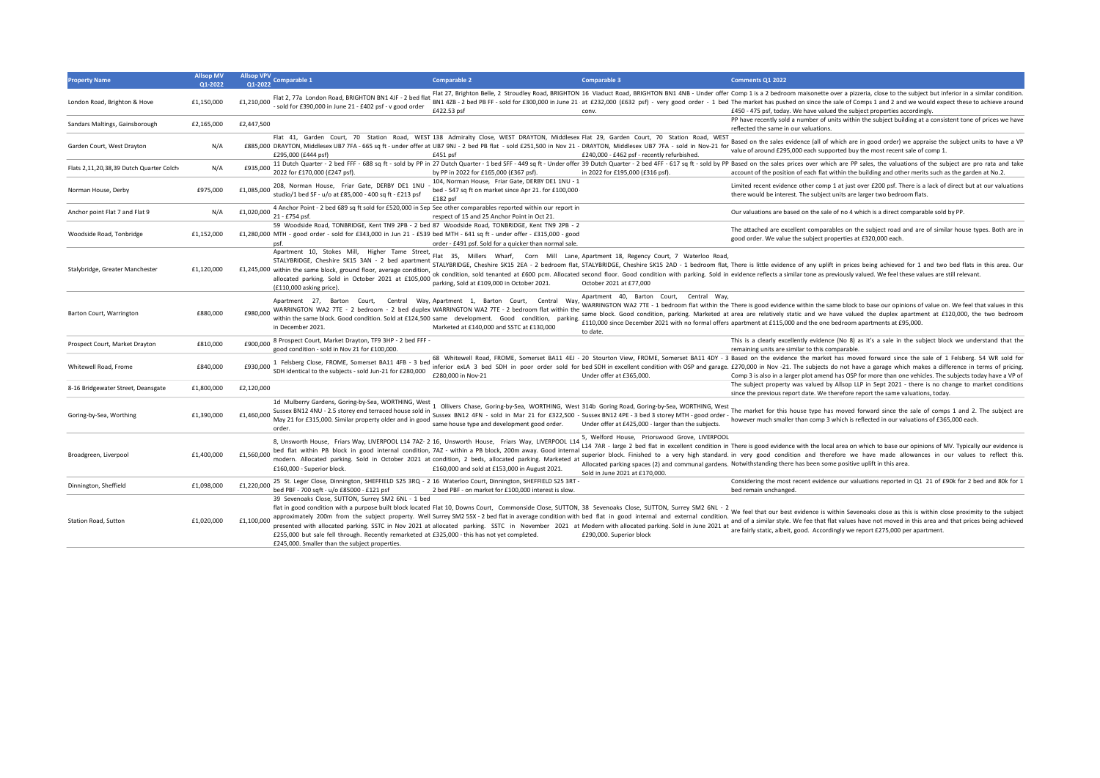| <b>Property Name</b>                    | <b>Allsop MV</b><br>Q1-2022 | <b>Allsop VPV</b><br>Comparable 1<br>01-2022                                                                                                                                                                                                                                                                                                                                   | <b>Comparable 2</b>                                                                                                                                                                                                                                                                                                                                                  | <b>Comparable 3</b>                                                                                                                                                                                                                                         | Comments Q1 2022                                                                                                                                                                                                                                                                                                                                                                                                                                                                                                    |
|-----------------------------------------|-----------------------------|--------------------------------------------------------------------------------------------------------------------------------------------------------------------------------------------------------------------------------------------------------------------------------------------------------------------------------------------------------------------------------|----------------------------------------------------------------------------------------------------------------------------------------------------------------------------------------------------------------------------------------------------------------------------------------------------------------------------------------------------------------------|-------------------------------------------------------------------------------------------------------------------------------------------------------------------------------------------------------------------------------------------------------------|---------------------------------------------------------------------------------------------------------------------------------------------------------------------------------------------------------------------------------------------------------------------------------------------------------------------------------------------------------------------------------------------------------------------------------------------------------------------------------------------------------------------|
| London Road, Brighton & Hove            | £1.150.000                  | Flat 2, 77a London Road, BRIGHTON BN1 4JF - 2 bed flat<br>£1,210,000<br>sold for £390,000 in June 21 - £402 psf - v good order                                                                                                                                                                                                                                                 | £422.53 psf                                                                                                                                                                                                                                                                                                                                                          | conv.                                                                                                                                                                                                                                                       | Flat 27, Brighton Belle, 2 Stroudley Road, BRIGHTON 16 Viaduct Road, BRIGHTON BN1 4NB - Under offer Comp 1 is a 2 bedroom maisonette over a pizzeria, close to the subject but inferior in a similar condition<br>BN1 4ZB - 2 bed PB FF - sold for £300,000 in June 21 at £232,000 (£632 psf) - very good order - 1 bed The market has pushed on since the sale of Comps 1 and 2 and we would expect these to achieve arounc<br>£450 - 475 psf, today. We have valued the subject properties accordingly.           |
| Sandars Maltings, Gainsborough          | £2,165,000                  | £2,447,500                                                                                                                                                                                                                                                                                                                                                                     |                                                                                                                                                                                                                                                                                                                                                                      |                                                                                                                                                                                                                                                             | PP have recently sold a number of units within the subject building at a consistent tone of prices we have<br>reflected the same in our valuations.                                                                                                                                                                                                                                                                                                                                                                 |
| Garden Court, West Drayton              | N/A                         | £885,000 DRAYTON, Middlesex UB7 7FA - 665 sq ft - under offer at UB7 9NJ - 2 bed PB flat - sold £251,500 in Nov 21 - DRAYTON, Middlesex UB7 7FA - sold in Nov-21 for<br>£295,000 (£444 psf)                                                                                                                                                                                    | Flat 41, Garden Court, 70 Station Road, WEST 138 Admiralty Close, WEST DRAYTON, Middlesex Flat 29, Garden Court, 70 Station Road, WEST<br>£451 psf                                                                                                                                                                                                                   | £240,000 - £462 psf - recently refurbished.                                                                                                                                                                                                                 | Based on the sales evidence (all of which are in good order) we appraise the subject units to have a VF<br>value of around £295,000 each supported buy the most recent sale of comp 1.                                                                                                                                                                                                                                                                                                                              |
| Flats 2,11,20,38,39 Dutch Quarter Colch | N/A                         | £935,000<br>2022 for £170,000 (£247 psf).                                                                                                                                                                                                                                                                                                                                      | by PP in 2022 for £165,000 (£367 psf).                                                                                                                                                                                                                                                                                                                               | in 2022 for £195,000 (£316 psf).                                                                                                                                                                                                                            | 11 Dutch Quarter - 2 bed FFF - 688 sq ft - sold by PP in 27 Dutch Quarter - 1 bed SFF - 449 sq ft - Under offer 39 Dutch Quarter - 2 bed 4FF - 617 sq ft - sold by PP Based on the sales prices over which are PP sales, the v<br>account of the position of each flat within the building and other merits such as the garden at No.2.                                                                                                                                                                             |
| Norman House, Derby                     | £975.000                    | 208, Norman House, Friar Gate, DERBY DE1 1NU<br>£1.085.000<br>studio/1 bed SF - u/o at £85,000 - 400 sq ft - £213 psf                                                                                                                                                                                                                                                          | 104, Norman House, Friar Gate, DERBY DE1 1NU - 1<br>bed - 547 sq ft on market since Apr 21. for £100,000<br>£182 psf                                                                                                                                                                                                                                                 |                                                                                                                                                                                                                                                             | Limited recent evidence other comp 1 at just over £200 psf. There is a lack of direct but at our valuations<br>there would be interest. The subject units are larger two bedroom flats.                                                                                                                                                                                                                                                                                                                             |
| Anchor point Flat 7 and Flat 9          | N/A                         | £1,020,000<br>21 - £754 psf.                                                                                                                                                                                                                                                                                                                                                   | 4 Anchor Point - 2 bed 689 sq ft sold for £520,000 in Sep See other comparables reported within our report in<br>respect of 15 and 25 Anchor Point in Oct 21.                                                                                                                                                                                                        |                                                                                                                                                                                                                                                             | Our valuations are based on the sale of no 4 which is a direct comparable sold by PP.                                                                                                                                                                                                                                                                                                                                                                                                                               |
| Woodside Road, Tonbridge                | £1,152,000                  | £1,280,000 MTH - good order - sold for £343,000 in Jun 21 - £539 bed MTH - 641 sq ft - under offer - £315,000 - good<br>psf.                                                                                                                                                                                                                                                   | 59 Woodside Road, TONBRIDGE, Kent TN9 2PB - 2 bed 87 Woodside Road, TONBRIDGE, Kent TN9 2PB - 2<br>order - £491 psf. Sold for a quicker than normal sale.                                                                                                                                                                                                            |                                                                                                                                                                                                                                                             | The attached are excellent comparables on the subject road and are of similar house types. Both are in<br>good order. We value the subject properties at £320,000 each.                                                                                                                                                                                                                                                                                                                                             |
| Stalybridge, Greater Manchester         | £1,120,000                  | Apartment 10, Stokes Mill, Higher Tame Street,<br>STALYBRIDGE, Cheshire SK15 3AN - 2 bed apartment<br>£1,245,000 within the same block, ground floor, average condition,<br>allocated parking. Sold in October 2021 at £105,000<br>(£110,000 asking price).                                                                                                                    | Flat 35, Millers Wharf, Corn Mill<br>parking. Sold at £109,000 in October 2021.                                                                                                                                                                                                                                                                                      | Lane, Apartment 18, Regency Court, 7 Waterloo Road,<br>October 2021 at £77,000                                                                                                                                                                              | STALYBRIDGE, Cheshire SK15 2EA - 2 bedroom flat, STALYBRIDGE, Cheshire SK15 2AD - 1 bedroom flat, There is little evidence of any uplift in prices being achieved for 1 and two bed flats in this area. Our<br>ok condition, sold tenanted at £600 pcm. Allocated second floor. Good condition with parking. Sold in evidence reflects a similar tone as previously valued. We feel these values are still relevant.                                                                                                |
| Barton Court, Warrington                | £880.000                    | Apartment 27. Barton Court.<br>£980,000<br>in December 2021.                                                                                                                                                                                                                                                                                                                   | Central Way, Apartment 1, Barton Court, Central Way,<br>WARRINGTON WA2 7TE - 2 bedroom - 2 bed duplex WARRINGTON WA2 7TE - 2 bedroom flat within the<br>within the same block. Good condition. Sold at £124,500 same development. Good condition, parking.<br>Marketed at £140,000 and SSTC at £130,000                                                              | Apartment 40. Barton Court.<br>Central Wav.<br>to date.                                                                                                                                                                                                     | WARRINGTON WA2 7TE - 1 bedroom flat within the There is good evidence within the same block to base our opinions of value on. We feel that values in this<br>same block. Good condition, parking. Marketed at area are relatively static and we have valued the duplex apartment at £120,000, the two bedroom<br>£110,000 since December 2021 with no formal offers apartment at £115,000 and the one bedroom apartments at £95,000.                                                                                |
| Prospect Court, Market Drayton          | £810,000                    | 8 Prospect Court, Market Drayton, TF9 3HP - 2 bed FFF<br>£900,000<br>good condition - sold in Nov 21 for £100,000.                                                                                                                                                                                                                                                             |                                                                                                                                                                                                                                                                                                                                                                      |                                                                                                                                                                                                                                                             | This is a clearly excellently evidence (No 8) as it's a sale in the subject block we understand that the<br>remaining units are similar to this comparable.                                                                                                                                                                                                                                                                                                                                                         |
| Whitewell Road, Frome                   | £840,000                    | 1 Felsberg Close, FROME, Somerset BA11 4FB - 3 bed<br>£930,000<br>SDH identical to the subjects - sold Jun-21 for £280,000                                                                                                                                                                                                                                                     | £280,000 in Nov-21                                                                                                                                                                                                                                                                                                                                                   | Under offer at £365,000                                                                                                                                                                                                                                     | 68 Whitewell Road, FROME, Somerset BA11 4EJ - 20 Stourton View, FROME, Somerset BA11 4DY - 3 Based on the evidence the market has moved forward since the sale of 1 Felsberg. 54 WR sold for<br>inferior exLA 3 bed SDH in poor order sold for bed SDH in excellent condition with OSP and garage. £270,000 in Nov -21. The subjects do not have a garage which makes a difference in terms of pricing<br>Comp 3 is also in a larger plot amend has OSP for more than one vehicles. The subjects today have a VP of |
| 8-16 Bridgewater Street, Deansgate      | £1,800,000                  | £2,120,000                                                                                                                                                                                                                                                                                                                                                                     |                                                                                                                                                                                                                                                                                                                                                                      |                                                                                                                                                                                                                                                             | The subject property was valued by Allsop LLP in Sept 2021 - there is no change to market conditions<br>since the previous report date. We therefore report the same valuations, today.                                                                                                                                                                                                                                                                                                                             |
| Goring-by-Sea, Worthing                 | £1,390,000                  | 1d Mulberry Gardens, Goring-by-Sea, WORTHING, West<br>Sussex BN12 4NU - 2.5 storey end terraced house sold in<br>£1.460.000<br>May 21 for £315,000. Similar property older and in good<br>order.                                                                                                                                                                               | same house type and development good order.                                                                                                                                                                                                                                                                                                                          | Ollivers Chase, Goring-by-Sea, WORTHING, West 314b Goring Road, Goring-by-Sea, WORTHING, West<br>Sussex BN12 4FN - sold in Mar 21 for £322,500 - Sussex BN12 4PE - 3 bed 3 storey MTH - good order -<br>Under offer at £425,000 - larger than the subjects. | The market for this house type has moved forward since the sale of comps 1 and 2. The subject are<br>however much smaller than comp 3 which is reflected in our valuations of £365,000 each                                                                                                                                                                                                                                                                                                                         |
| Broadgreen, Liverpool                   | £1,400,000                  | £1,560,000<br>£160,000 - Superior block.                                                                                                                                                                                                                                                                                                                                       | 8, Unsworth House, Friars Way, LIVERPOOL L14 7AZ- 2 16, Unsworth House, Friars Way, LIVERPOOL L14<br>bed flat within PB block in good internal condition, 7AZ - within a PB block, 200m away. Good internal<br>modern. Allocated parking. Sold in October 2021 at condition, 2 beds, allocated parking. Marketed at<br>£160,000 and sold at £153,000 in August 2021. | 5. Welford House. Priorswood Grove. LIVERPOOL<br>Sold in June 2021 at £170,000.                                                                                                                                                                             | L14 7AR - large 2 bed flat in excellent condition in There is good evidence with the local area on which to base our opinions of MV. Typically our evidence is<br>superior block. Finished to a very high standard, in very good condition and therefore we have made allowances in our values to reflect this<br>Allocated parking spaces (2) and communal gardens. Notwithstanding there has been some positive uplift in this area.                                                                              |
| Dinnington, Sheffield                   | £1,098,000                  | £1,220,000 <sup>25</sup> St. Leger Close, Dinnington, SHEFFIELD S25 3RQ - 2 16 Waterloo Court, Dinnington, SHEFFIELD S25 3RT -<br>bed PBF - 700 saft - u/o £85000 - £121 psf                                                                                                                                                                                                   | 2 bed PBF - on market for £100,000 interest is slow.                                                                                                                                                                                                                                                                                                                 |                                                                                                                                                                                                                                                             | Considering the most recent evidence our valuations reported in Q1 21 of £90k for 2 bed and 80k for 1<br>bed remain unchanged.                                                                                                                                                                                                                                                                                                                                                                                      |
| Station Road, Sutton                    | £1,020,000                  | 39 Sevenoaks Close, SUTTON, Surrey SM2 6NL - 1 bed<br>£1,100,000 approximately 200m from the subject property. Well Surrey SM2 5SX - 2 bed flat in average condition with bed flat in good internal and external condition.<br>£255,000 but sale fell through. Recently remarketed at £325,000 - this has not yet completed.<br>£245,000. Smaller than the subject properties. | presented with allocated parking. SSTC in Nov 2021 at allocated parking. SSTC in November 2021 at Modern with allocated parking. Sold in June 2021 at                                                                                                                                                                                                                | £290,000. Superior block                                                                                                                                                                                                                                    | flat in good condition with a purpose built block located Flat 10, Downs Court, Commonside Close, SUTTON, 38 Sevenoaks Close, SUTTON, Surrey SM2 6NL - 2 We feel that our best evidence is within Sevenoaks close as this is w<br>and of a similar style. We fee that flat values have not moved in this area and that prices being achieved<br>are fairly static, albeit, good. Accordingly we report £275,000 per apartment.                                                                                      |